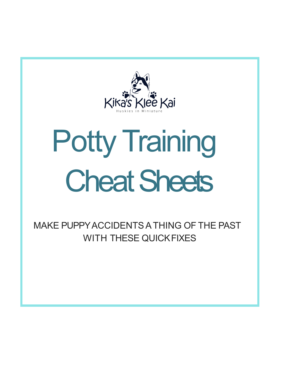

# Potty Training **Cheat Sheets**

MAKE PUPPY ACCIDENTS A THING OF THE PAST WITH THESE QUICKFIXES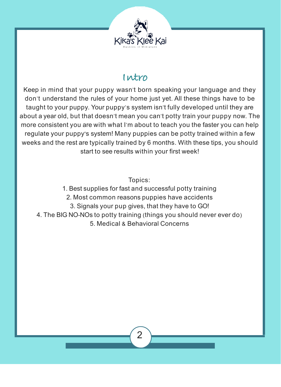

#### **Intro**

Keep in mind that your puppy wasn't born speaking your language and they don't understand the rules of your home just yet. All these things have to be taught to your puppy. Your puppy's system isn't fully developed until they are about a year old, but that doesn't mean you can't potty train your puppy now. The more consistent you are with what I'm about to teach you the faster you can help regulate your puppy's system! Many puppies can be potty trained within a few weeks and the rest are typically trained by 6 months. With these tips, you should start to see results within your first week!

Topics:

1. Best supplies for fast and successful potty training 2. Most common reasons puppies have accidents 3. Signals your pup gives, that they have to GO! 4. The BIG NO-NOs to potty training (things you should never ever do) 5. Medical & Behavioral Concerns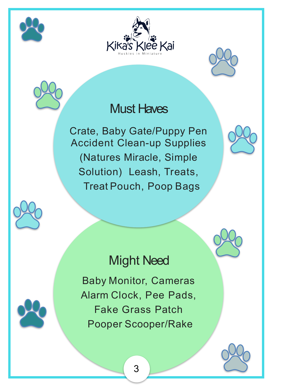





### Must Haves

Crate, Baby Gate/Puppy Pen Accident Clean-up Supplies (Natures Miracle, Simple Solution) Leash, Treats, Treat Pouch, Poop Bags





## Might Need

Baby Monitor, Cameras Alarm Clock, Pee Pads, Fake Grass Patch Pooper Scooper/Rake



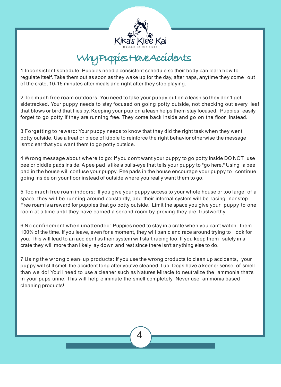

Why Puppies Have Accidents

1.Inconsistent schedule: Puppies need a consistent schedule so their body can learn how to regulate itself. Take them out as soon as they wake up for the day, after naps, anytime they come out of the crate, 10-15 minutes after meals and right after they stop playing.

2.Too much free roam outdoors: You need to take your puppy out on a leash so they don't get sidetracked. Your puppy needs to stay focused on going potty outside, not checking out every leaf that blows or bird that flies by. Keeping your pup on a leash helps them stay focused. Puppies easily forget to go potty if they are running free. They come back inside and go on the floor instead.

3.Forgetting to reward: Your puppy needs to know that they did the right task when they went potty outside. Use a treat or piece of kibble to reinforce the right behavior otherwise the message isn't clear that you want them to go potty outside.

4.Wrong message about where to go: If you don't want your puppy to go potty inside DO NOT use pee or piddle pads inside. Apee pad is like a bulls-eye that tells your puppy to "go here." Using a pee pad in the house will confuse your puppy. Pee pads in the house encourage your puppy to continue going inside on your floor instead of outside where you really want them to go.

5.Too much free roam indoors: If you give your puppy access to your whole house or too large of a space, they will be running around constantly, and their internal system will be racing nonstop. Free roam is a reward for puppies that go potty outside. Limit the space you give your puppy to one room at a time until they have earned a second room by proving they are trustworthy.

6.No confinement when unattended: Puppies need to stay in a crate when you can't watch them 100% of the time. If you leave, even for a moment, they will panic and race around trying to look for you. This will lead to an accident as their system will start racing too. If you keep them safely in a crate they will more than likely lay down and rest since there isn't anything else to do.

7.Using the wrong clean- up products: If you use the wrong products to clean up accidents, your puppy will still smell the accident long after you've cleaned it up. Dogs have a keener sense of smell than we do! You'll need to use a cleaner such as Natures Miracle to neutralize the ammonia that's in your pups urine. This will help eliminate the smell completely. Never use ammonia based cleaning products!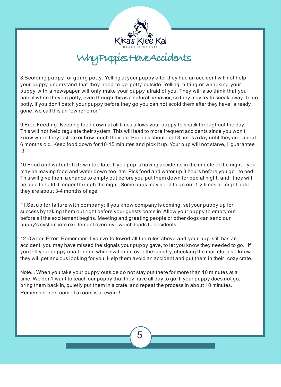

## Kika's Klee Kai<br>Why Puppies Have Accidents

8.Scolding puppy for going potty: Yelling at your puppy after they had an accident will not help your puppy understand that they need to go potty outside. Yelling, hitting or whacking your puppy with a newspaper will only make your puppy afraid of you. They will also think that you hate it when they go potty, even though this is a natural behavior, so they may try to sneak away to go potty. If you don't catch your puppy before they go you can not scold them after they have already gone, we call this an "owner error."

9.Free Feeding: Keeping food down at all times allows your puppy to snack throughout the day. This will not help regulate their system. This will lead to more frequent accidents since you won't know when they last ate or how much they ate. Puppies should eat 3 times a day until they are about 6 months old. Keep food down for 10-15 minutes and pick it up. Your pup will not starve, I guarantee it!

10.Food and water left down too late: If you pup is having accidents in the middle of the night, you may be leaving food and water down too late. Pick food and water up 3 hours before you go to bed. This will give them a chance to empty out before you put them down for bed at night, and they will be able to hold it longer through the night. Some pups may need to go out 1-2 times at night until they are about 3-4 months of age.

11.Set up for failure with company: If you know company is coming, set your puppy up for success by taking them out right before your guests come in. Allow your puppy to empty out before all the excitement begins. Meeting and greeting people or other dogs can send our puppy's system into excitement overdrive which leads to accidents.

12.Owner Error: Remember if you've followed all the rules above and your pup still has an accident, you may have missed the signals your puppy gave, to let you know they needed to go. If you left your puppy unattended while switching over the laundry, checking the mail etc. just know they will get anxious looking for you. Help them avoid an accident and put them in their cozy crate.

Note... When you take your puppy outside do not stay out there for more than 10 minutes at a time. We don't want to teach our puppy that they have all day to go. If your puppy does not go, bring them back in, quietly put them in a crate, and repeat the process in about 10 minutes. Remember free roam of a room is a reward!

5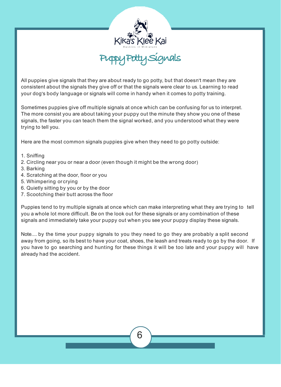

All puppies give signals that they are about ready to go potty, but that doesn't mean they are consistent about the signals they give off or that the signals were clear to us. Learning to read your dog's body language or signals will come in handy when it comes to potty training.

Sometimes puppies give off multiple signals at once which can be confusing for us to interpret. The more consist you are about taking your puppy out the minute they show you one of these signals, the faster you can teach them the signal worked, and you understood what they were trying to tell you.

Here are the most common signals puppies give when they need to go potty outside:

- 1. Sniffing
- 2. Circling near you or near a door (even though it might be the wrong door)
- 3. Barking
- 4. Scratching at the door, floor or you
- 5. Whimpering or crying
- 6. Quietly sitting by you or by the door
- 7. Scootching their butt across the floor

Puppies tend to try multiple signals at once which can make interpreting what they are trying to tell you a whole lot more difficult. Be on the look out for these signals or any combination of these signals and immediately take your puppy out when you see your puppy display these signals.

Note.... by the time your puppy signals to you they need to go they are probably a split second away from going, so its best to have your coat, shoes, the leash and treats ready to go by the door. If you have to go searching and hunting for these things it will be too late and your puppy will have already had the accident.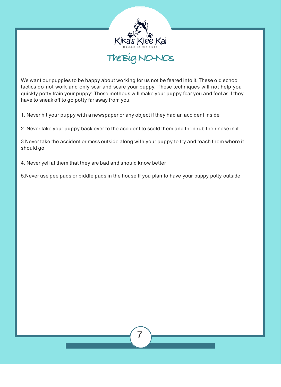

We want our puppies to be happy about working for us not be feared into it. These old school tactics do not work and only scar and scare your puppy. These techniques will not help you quickly potty train your puppy! These methods will make your puppy fear you and feel as if they have to sneak off to go potty far away from you.

1. Never hit your puppy with a newspaper or any object if they had an accident inside

2. Never take your puppy back over to the accident to scold them and then rub their nose in it

3.Never take the accident or mess outside along with your puppy to try and teach them where it should go

4. Never yell at them that they are bad and should know better

5.Never use pee pads or piddle pads in the house If you plan to have your puppy potty outside.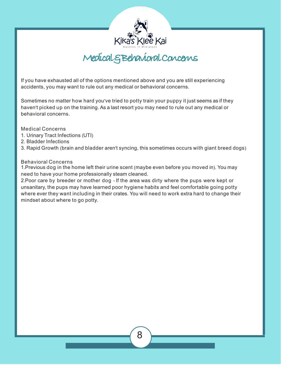

Kika's Klee Kai<br>Medical Steehavioral Concerns

If you have exhausted all of the options mentioned above and you are still experiencing accidents, you may want to rule out any medical or behavioral concerns.

Sometimes no matter how hard you've tried to potty train your puppy it just seems as if they haven't picked up on the training. As a last resort you may need to rule out any medical or behavioral concerns.

Medical Concerns

- 1. Urinary Tract Infections (UTI)
- 2. Bladder Infections
- 3. Rapid Growth (brain and bladder aren't syncing, this sometimes occurs with giant breed dogs)

#### Behavioral Concerns

1.Previous dog in the home left their urine scent (maybe even before you moved in). You may need to have your home professionally steam cleaned.

2.Poor care by breeder or mother dog - If the area was dirty where the pups were kept or unsanitary, the pups may have learned poor hygiene habits and feel comfortable going potty where ever they want including in their crates. You will need to work extra hard to change their mindset about where to go potty.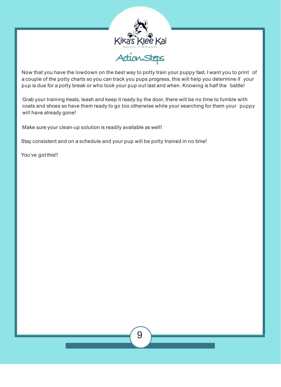

Now that you have the lowdown on the best way to potty train your puppy fast, I want you to print of a couple of the potty charts so you can track you pups progress, this will help you determine if your pup is due for a potty break or who took your pup out last and when. Knowing is half the battle!

Grab your training treats, leash and keep it ready by the door, there will be no time to fumble with coats and shoes so have them ready to go too otherwise while your searching for them your puppy will have already gone!

Make sure your clean-up solution is readily available as well!

Stay consistent and on a schedule and your pup will be potty trained in no time!

You've got this!!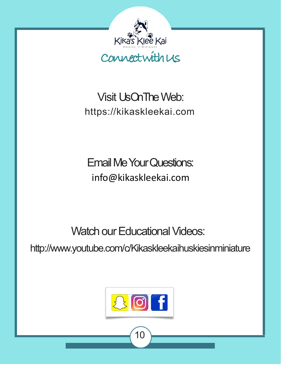

## Visit Us On The Web: https://kikaskleekai.com

## Email Me YourQuestions: [info@kikaskleekai.com](mailto:info@kikaskleekai.com)

Watch our Educational Videos:

http://www.youtube.com/c/Kikaskleekaihuskiesinminiature